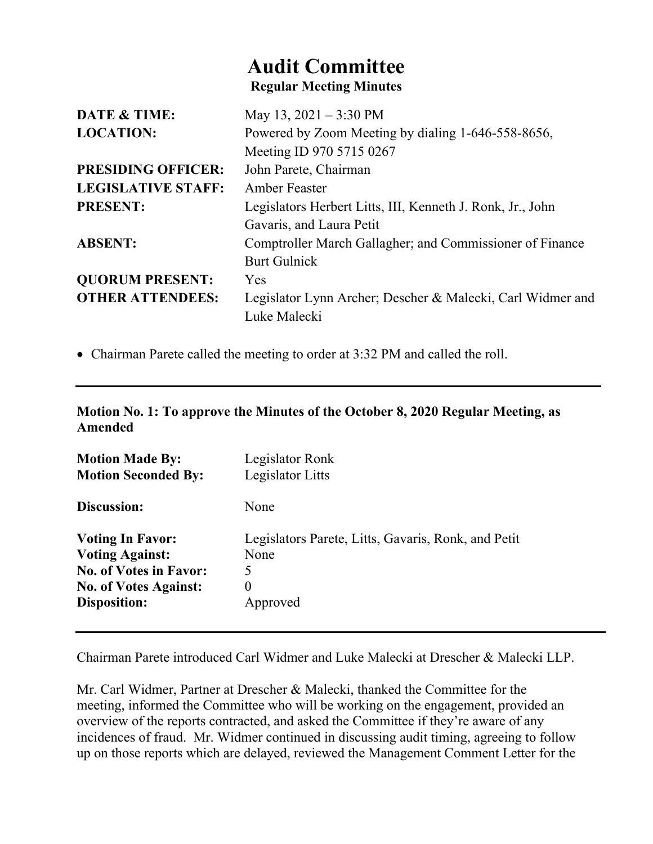# **Audit Committee Regular Meeting Minutes**

| <b>DATE &amp; TIME:</b>   | May 13, $2021 - 3:30$ PM                                   |
|---------------------------|------------------------------------------------------------|
| <b>LOCATION:</b>          | Powered by Zoom Meeting by dialing 1-646-558-8656,         |
|                           | Meeting ID 970 5715 0267                                   |
| <b>PRESIDING OFFICER:</b> | John Parete, Chairman                                      |
| <b>LEGISLATIVE STAFF:</b> | Amber Feaster                                              |
| <b>PRESENT:</b>           | Legislators Herbert Litts, III, Kenneth J. Ronk, Jr., John |
|                           | Gavaris, and Laura Petit                                   |
| <b>ABSENT:</b>            | Comptroller March Gallagher; and Commissioner of Finance   |
|                           | <b>Burt Gulnick</b>                                        |
| <b>QUORUM PRESENT:</b>    | Yes                                                        |
| <b>OTHER ATTENDEES:</b>   | Legislator Lynn Archer; Descher & Malecki, Carl Widmer and |
|                           | Luke Malecki                                               |
|                           |                                                            |

Chairman Parete called the meeting to order at 3:32 PM and called the roll.

### **Motion No. 1: To approve the Minutes of the October 8, 2020 Regular Meeting, as Amended**

| <b>Motion Made By:</b><br><b>Motion Seconded By:</b> | Legislator Ronk<br>Legislator Litts                 |
|------------------------------------------------------|-----------------------------------------------------|
| Discussion:                                          | None                                                |
| <b>Voting In Favor:</b>                              | Legislators Parete, Litts, Gavaris, Ronk, and Petit |
| <b>Voting Against:</b>                               | None                                                |
| <b>No. of Votes in Favor:</b>                        | 5                                                   |
| <b>No. of Votes Against:</b>                         | $\theta$                                            |
| Disposition:                                         | Approved                                            |

Chairman Parete introduced Carl Widmer and Luke Malecki at Drescher & Malecki LLP.

Mr. Carl Widmer, Partner at Drescher & Malecki, thanked the Committee for the meeting, informed the Committee who will be working on the engagement, provided an overview of the reports contracted, and asked the Committee if they're aware of any incidences of fraud. Mr. Widmer continued in discussing audit timing, agreeing to follow up on those reports which are delayed, reviewed the Management Comment Letter for the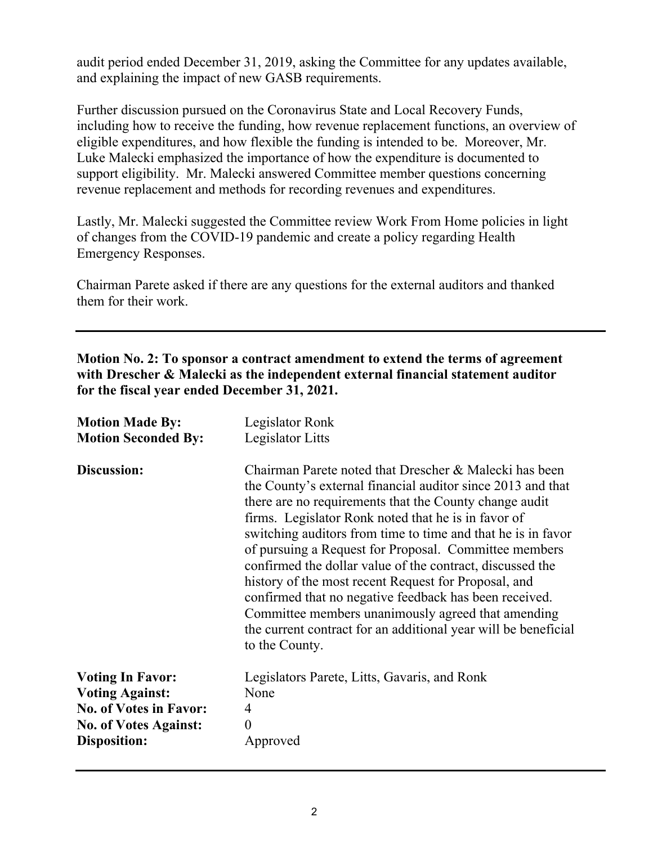audit period ended December 31, 2019, asking the Committee for any updates available, and explaining the impact of new GASB requirements.

Further discussion pursued on the Coronavirus State and Local Recovery Funds, including how to receive the funding, how revenue replacement functions, an overview of eligible expenditures, and how flexible the funding is intended to be. Moreover, Mr. Luke Malecki emphasized the importance of how the expenditure is documented to support eligibility. Mr. Malecki answered Committee member questions concerning revenue replacement and methods for recording revenues and expenditures.

Lastly, Mr. Malecki suggested the Committee review Work From Home policies in light of changes from the COVID-19 pandemic and create a policy regarding Health Emergency Responses.

Chairman Parete asked if there are any questions for the external auditors and thanked them for their work.

**Motion No. 2: To sponsor a contract amendment to extend the terms of agreement with Drescher & Malecki as the independent external financial statement auditor for the fiscal year ended December 31, 2021.**

| <b>Motion Made By:</b>        | Legislator Ronk                                                                                                                                                                                                                                                                                                                                                                                                                                                                                                                                                                                                                                                                          |
|-------------------------------|------------------------------------------------------------------------------------------------------------------------------------------------------------------------------------------------------------------------------------------------------------------------------------------------------------------------------------------------------------------------------------------------------------------------------------------------------------------------------------------------------------------------------------------------------------------------------------------------------------------------------------------------------------------------------------------|
| <b>Motion Seconded By:</b>    | Legislator Litts                                                                                                                                                                                                                                                                                                                                                                                                                                                                                                                                                                                                                                                                         |
| Discussion:                   | Chairman Parete noted that Drescher & Malecki has been<br>the County's external financial auditor since 2013 and that<br>there are no requirements that the County change audit<br>firms. Legislator Ronk noted that he is in favor of<br>switching auditors from time to time and that he is in favor<br>of pursuing a Request for Proposal. Committee members<br>confirmed the dollar value of the contract, discussed the<br>history of the most recent Request for Proposal, and<br>confirmed that no negative feedback has been received.<br>Committee members unanimously agreed that amending<br>the current contract for an additional year will be beneficial<br>to the County. |
| <b>Voting In Favor:</b>       | Legislators Parete, Litts, Gavaris, and Ronk                                                                                                                                                                                                                                                                                                                                                                                                                                                                                                                                                                                                                                             |
| <b>Voting Against:</b>        | None                                                                                                                                                                                                                                                                                                                                                                                                                                                                                                                                                                                                                                                                                     |
| <b>No. of Votes in Favor:</b> | 4                                                                                                                                                                                                                                                                                                                                                                                                                                                                                                                                                                                                                                                                                        |
| <b>No. of Votes Against:</b>  | $\theta$                                                                                                                                                                                                                                                                                                                                                                                                                                                                                                                                                                                                                                                                                 |
| <b>Disposition:</b>           | Approved                                                                                                                                                                                                                                                                                                                                                                                                                                                                                                                                                                                                                                                                                 |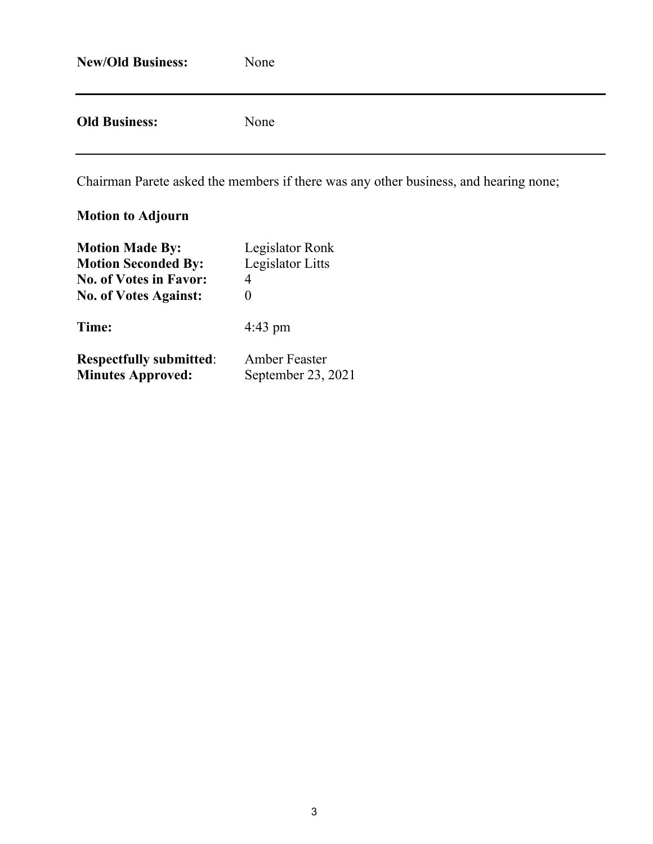Chairman Parete asked the members if there was any other business, and hearing none;

### **Motion to Adjourn**

| <b>Motion Made By:</b>         | Legislator Ronk    |  |
|--------------------------------|--------------------|--|
| <b>Motion Seconded By:</b>     | Legislator Litts   |  |
| <b>No. of Votes in Favor:</b>  | 4                  |  |
| <b>No. of Votes Against:</b>   |                    |  |
| Time:                          | $4:43$ pm          |  |
| <b>Respectfully submitted:</b> | Amber Feaster      |  |
| <b>Minutes Approved:</b>       | September 23, 2021 |  |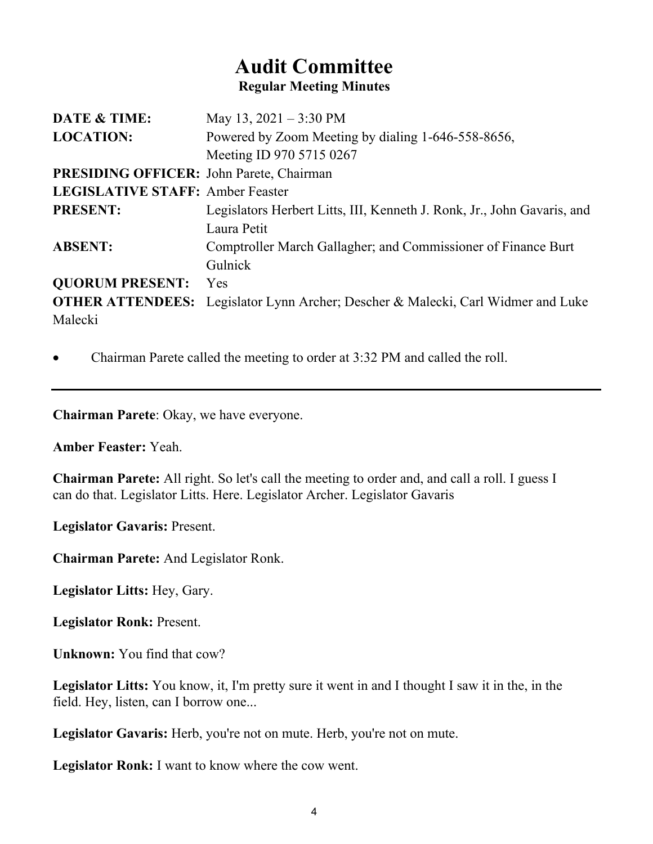## **Audit Committee Regular Meeting Minutes**

| <b>DATE &amp; TIME:</b>                         | May 13, $2021 - 3:30$ PM                                                |
|-------------------------------------------------|-------------------------------------------------------------------------|
| <b>LOCATION:</b>                                | Powered by Zoom Meeting by dialing 1-646-558-8656,                      |
|                                                 | Meeting ID 970 5715 0267                                                |
| <b>PRESIDING OFFICER:</b> John Parete, Chairman |                                                                         |
| <b>LEGISLATIVE STAFF: Amber Feaster</b>         |                                                                         |
| <b>PRESENT:</b>                                 | Legislators Herbert Litts, III, Kenneth J. Ronk, Jr., John Gavaris, and |
|                                                 | Laura Petit                                                             |
| <b>ABSENT:</b>                                  | Comptroller March Gallagher; and Commissioner of Finance Burt           |
|                                                 | Gulnick                                                                 |
| <b>QUORUM PRESENT:</b>                          | Yes                                                                     |
| <b>OTHER ATTENDEES:</b>                         | Legislator Lynn Archer; Descher & Malecki, Carl Widmer and Luke         |
| Malecki                                         |                                                                         |

Chairman Parete called the meeting to order at 3:32 PM and called the roll.

**Chairman Parete**: Okay, we have everyone.

**Amber Feaster:** Yeah.

**Chairman Parete:** All right. So let's call the meeting to order and, and call a roll. I guess I can do that. Legislator Litts. Here. Legislator Archer. Legislator Gavaris

**Legislator Gavaris:** Present.

**Chairman Parete:** And Legislator Ronk.

**Legislator Litts:** Hey, Gary.

**Legislator Ronk:** Present.

**Unknown:** You find that cow?

**Legislator Litts:** You know, it, I'm pretty sure it went in and I thought I saw it in the, in the field. Hey, listen, can I borrow one...

**Legislator Gavaris:** Herb, you're not on mute. Herb, you're not on mute.

**Legislator Ronk:** I want to know where the cow went.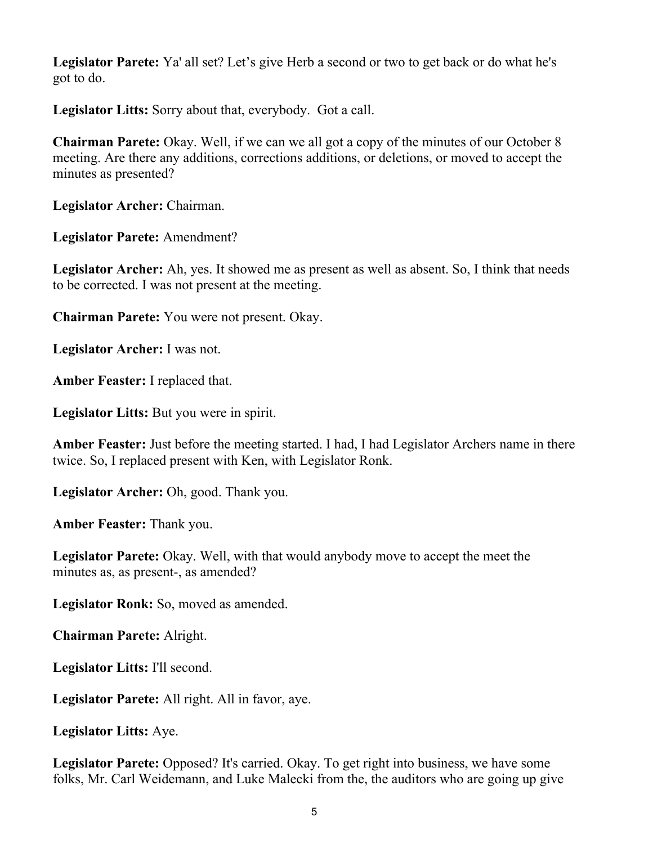**Legislator Parete:** Ya' all set? Let's give Herb a second or two to get back or do what he's got to do.

**Legislator Litts:** Sorry about that, everybody. Got a call.

**Chairman Parete:** Okay. Well, if we can we all got a copy of the minutes of our October 8 meeting. Are there any additions, corrections additions, or deletions, or moved to accept the minutes as presented?

**Legislator Archer:** Chairman.

**Legislator Parete:** Amendment?

**Legislator Archer:** Ah, yes. It showed me as present as well as absent. So, I think that needs to be corrected. I was not present at the meeting.

**Chairman Parete:** You were not present. Okay.

**Legislator Archer:** I was not.

**Amber Feaster:** I replaced that.

Legislator Litts: But you were in spirit.

**Amber Feaster:** Just before the meeting started. I had, I had Legislator Archers name in there twice. So, I replaced present with Ken, with Legislator Ronk.

**Legislator Archer:** Oh, good. Thank you.

**Amber Feaster:** Thank you.

**Legislator Parete:** Okay. Well, with that would anybody move to accept the meet the minutes as, as present-, as amended?

**Legislator Ronk:** So, moved as amended.

**Chairman Parete:** Alright.

**Legislator Litts:** I'll second.

**Legislator Parete:** All right. All in favor, aye.

**Legislator Litts:** Aye.

**Legislator Parete:** Opposed? It's carried. Okay. To get right into business, we have some folks, Mr. Carl Weidemann, and Luke Malecki from the, the auditors who are going up give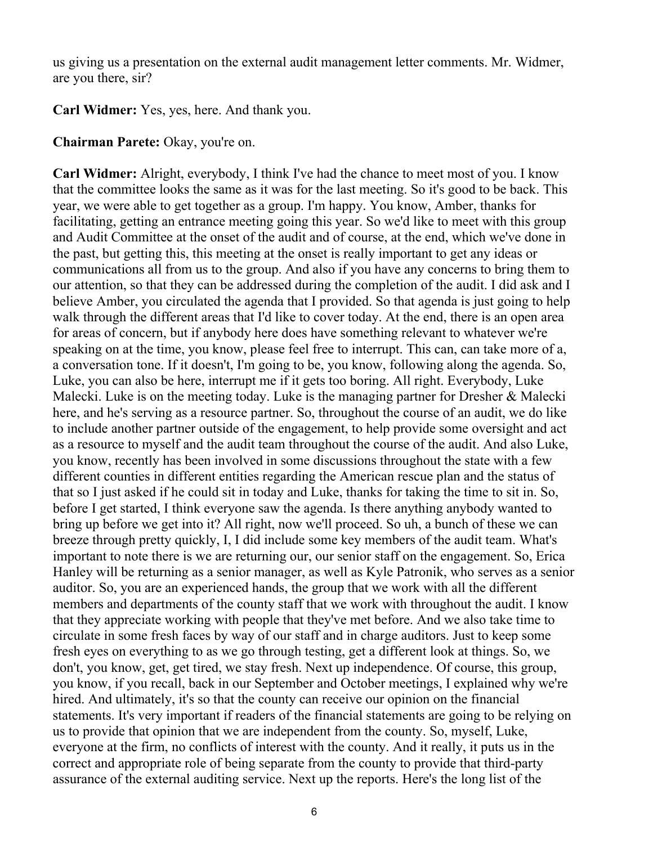us giving us a presentation on the external audit management letter comments. Mr. Widmer, are you there, sir?

**Carl Widmer:** Yes, yes, here. And thank you.

**Chairman Parete:** Okay, you're on.

**Carl Widmer:** Alright, everybody, I think I've had the chance to meet most of you. I know that the committee looks the same as it was for the last meeting. So it's good to be back. This year, we were able to get together as a group. I'm happy. You know, Amber, thanks for facilitating, getting an entrance meeting going this year. So we'd like to meet with this group and Audit Committee at the onset of the audit and of course, at the end, which we've done in the past, but getting this, this meeting at the onset is really important to get any ideas or communications all from us to the group. And also if you have any concerns to bring them to our attention, so that they can be addressed during the completion of the audit. I did ask and I believe Amber, you circulated the agenda that I provided. So that agenda is just going to help walk through the different areas that I'd like to cover today. At the end, there is an open area for areas of concern, but if anybody here does have something relevant to whatever we're speaking on at the time, you know, please feel free to interrupt. This can, can take more of a, a conversation tone. If it doesn't, I'm going to be, you know, following along the agenda. So, Luke, you can also be here, interrupt me if it gets too boring. All right. Everybody, Luke Malecki. Luke is on the meeting today. Luke is the managing partner for Dresher & Malecki here, and he's serving as a resource partner. So, throughout the course of an audit, we do like to include another partner outside of the engagement, to help provide some oversight and act as a resource to myself and the audit team throughout the course of the audit. And also Luke, you know, recently has been involved in some discussions throughout the state with a few different counties in different entities regarding the American rescue plan and the status of that so I just asked if he could sit in today and Luke, thanks for taking the time to sit in. So, before I get started, I think everyone saw the agenda. Is there anything anybody wanted to bring up before we get into it? All right, now we'll proceed. So uh, a bunch of these we can breeze through pretty quickly, I, I did include some key members of the audit team. What's important to note there is we are returning our, our senior staff on the engagement. So, Erica Hanley will be returning as a senior manager, as well as Kyle Patronik, who serves as a senior auditor. So, you are an experienced hands, the group that we work with all the different members and departments of the county staff that we work with throughout the audit. I know that they appreciate working with people that they've met before. And we also take time to circulate in some fresh faces by way of our staff and in charge auditors. Just to keep some fresh eyes on everything to as we go through testing, get a different look at things. So, we don't, you know, get, get tired, we stay fresh. Next up independence. Of course, this group, you know, if you recall, back in our September and October meetings, I explained why we're hired. And ultimately, it's so that the county can receive our opinion on the financial statements. It's very important if readers of the financial statements are going to be relying on us to provide that opinion that we are independent from the county. So, myself, Luke, everyone at the firm, no conflicts of interest with the county. And it really, it puts us in the correct and appropriate role of being separate from the county to provide that third-party assurance of the external auditing service. Next up the reports. Here's the long list of the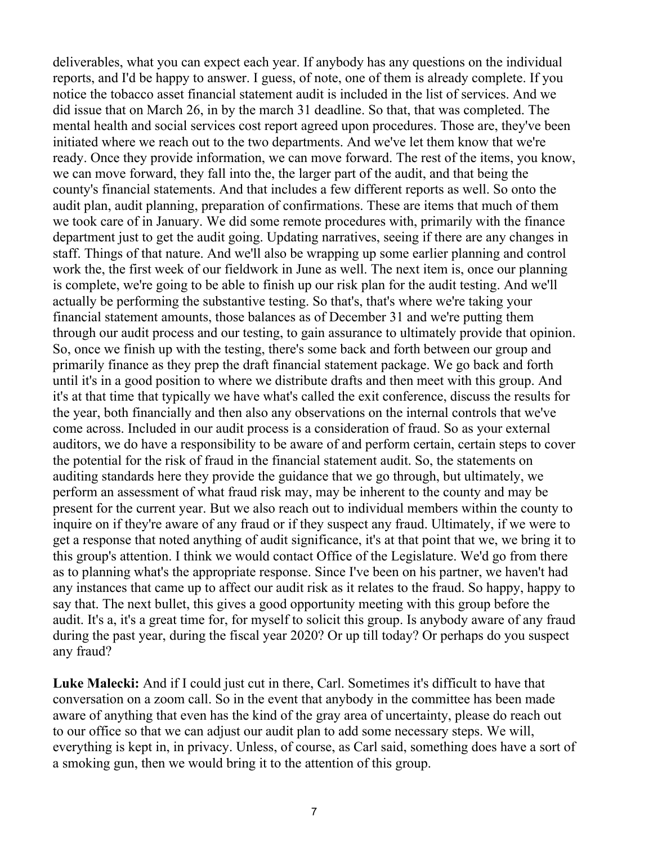deliverables, what you can expect each year. If anybody has any questions on the individual reports, and I'd be happy to answer. I guess, of note, one of them is already complete. If you notice the tobacco asset financial statement audit is included in the list of services. And we did issue that on March 26, in by the march 31 deadline. So that, that was completed. The mental health and social services cost report agreed upon procedures. Those are, they've been initiated where we reach out to the two departments. And we've let them know that we're ready. Once they provide information, we can move forward. The rest of the items, you know, we can move forward, they fall into the, the larger part of the audit, and that being the county's financial statements. And that includes a few different reports as well. So onto the audit plan, audit planning, preparation of confirmations. These are items that much of them we took care of in January. We did some remote procedures with, primarily with the finance department just to get the audit going. Updating narratives, seeing if there are any changes in staff. Things of that nature. And we'll also be wrapping up some earlier planning and control work the, the first week of our fieldwork in June as well. The next item is, once our planning is complete, we're going to be able to finish up our risk plan for the audit testing. And we'll actually be performing the substantive testing. So that's, that's where we're taking your financial statement amounts, those balances as of December 31 and we're putting them through our audit process and our testing, to gain assurance to ultimately provide that opinion. So, once we finish up with the testing, there's some back and forth between our group and primarily finance as they prep the draft financial statement package. We go back and forth until it's in a good position to where we distribute drafts and then meet with this group. And it's at that time that typically we have what's called the exit conference, discuss the results for the year, both financially and then also any observations on the internal controls that we've come across. Included in our audit process is a consideration of fraud. So as your external auditors, we do have a responsibility to be aware of and perform certain, certain steps to cover the potential for the risk of fraud in the financial statement audit. So, the statements on auditing standards here they provide the guidance that we go through, but ultimately, we perform an assessment of what fraud risk may, may be inherent to the county and may be present for the current year. But we also reach out to individual members within the county to inquire on if they're aware of any fraud or if they suspect any fraud. Ultimately, if we were to get a response that noted anything of audit significance, it's at that point that we, we bring it to this group's attention. I think we would contact Office of the Legislature. We'd go from there as to planning what's the appropriate response. Since I've been on his partner, we haven't had any instances that came up to affect our audit risk as it relates to the fraud. So happy, happy to say that. The next bullet, this gives a good opportunity meeting with this group before the audit. It's a, it's a great time for, for myself to solicit this group. Is anybody aware of any fraud during the past year, during the fiscal year 2020? Or up till today? Or perhaps do you suspect any fraud?

**Luke Malecki:** And if I could just cut in there, Carl. Sometimes it's difficult to have that conversation on a zoom call. So in the event that anybody in the committee has been made aware of anything that even has the kind of the gray area of uncertainty, please do reach out to our office so that we can adjust our audit plan to add some necessary steps. We will, everything is kept in, in privacy. Unless, of course, as Carl said, something does have a sort of a smoking gun, then we would bring it to the attention of this group.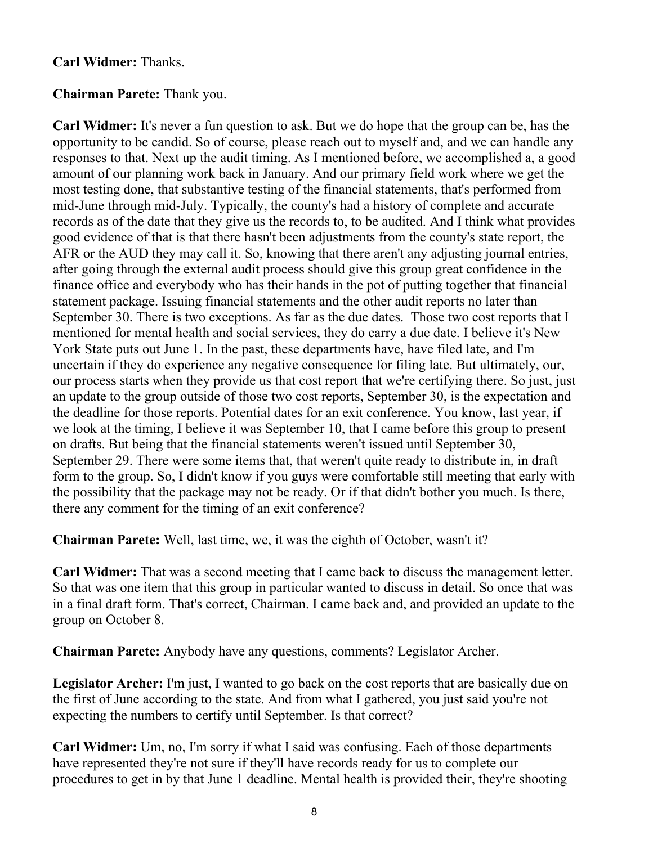#### **Carl Widmer:** Thanks.

#### **Chairman Parete:** Thank you.

**Carl Widmer:** It's never a fun question to ask. But we do hope that the group can be, has the opportunity to be candid. So of course, please reach out to myself and, and we can handle any responses to that. Next up the audit timing. As I mentioned before, we accomplished a, a good amount of our planning work back in January. And our primary field work where we get the most testing done, that substantive testing of the financial statements, that's performed from mid-June through mid-July. Typically, the county's had a history of complete and accurate records as of the date that they give us the records to, to be audited. And I think what provides good evidence of that is that there hasn't been adjustments from the county's state report, the AFR or the AUD they may call it. So, knowing that there aren't any adjusting journal entries, after going through the external audit process should give this group great confidence in the finance office and everybody who has their hands in the pot of putting together that financial statement package. Issuing financial statements and the other audit reports no later than September 30. There is two exceptions. As far as the due dates. Those two cost reports that I mentioned for mental health and social services, they do carry a due date. I believe it's New York State puts out June 1. In the past, these departments have, have filed late, and I'm uncertain if they do experience any negative consequence for filing late. But ultimately, our, our process starts when they provide us that cost report that we're certifying there. So just, just an update to the group outside of those two cost reports, September 30, is the expectation and the deadline for those reports. Potential dates for an exit conference. You know, last year, if we look at the timing, I believe it was September 10, that I came before this group to present on drafts. But being that the financial statements weren't issued until September 30, September 29. There were some items that, that weren't quite ready to distribute in, in draft form to the group. So, I didn't know if you guys were comfortable still meeting that early with the possibility that the package may not be ready. Or if that didn't bother you much. Is there, there any comment for the timing of an exit conference?

**Chairman Parete:** Well, last time, we, it was the eighth of October, wasn't it?

**Carl Widmer:** That was a second meeting that I came back to discuss the management letter. So that was one item that this group in particular wanted to discuss in detail. So once that was in a final draft form. That's correct, Chairman. I came back and, and provided an update to the group on October 8.

**Chairman Parete:** Anybody have any questions, comments? Legislator Archer.

**Legislator Archer:** I'm just, I wanted to go back on the cost reports that are basically due on the first of June according to the state. And from what I gathered, you just said you're not expecting the numbers to certify until September. Is that correct?

**Carl Widmer:** Um, no, I'm sorry if what I said was confusing. Each of those departments have represented they're not sure if they'll have records ready for us to complete our procedures to get in by that June 1 deadline. Mental health is provided their, they're shooting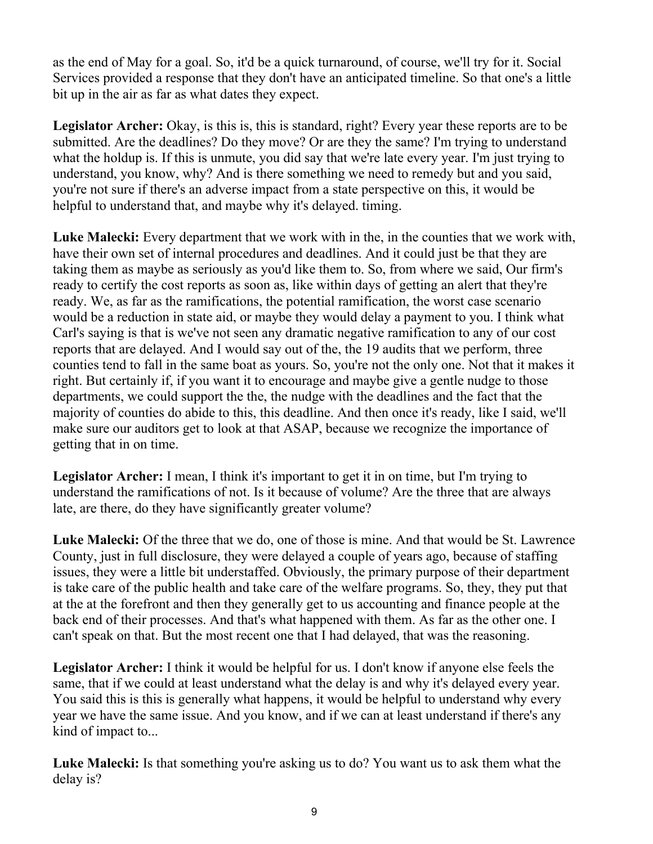as the end of May for a goal. So, it'd be a quick turnaround, of course, we'll try for it. Social Services provided a response that they don't have an anticipated timeline. So that one's a little bit up in the air as far as what dates they expect.

Legislator Archer: Okay, is this is, this is standard, right? Every year these reports are to be submitted. Are the deadlines? Do they move? Or are they the same? I'm trying to understand what the holdup is. If this is unmute, you did say that we're late every year. I'm just trying to understand, you know, why? And is there something we need to remedy but and you said, you're not sure if there's an adverse impact from a state perspective on this, it would be helpful to understand that, and maybe why it's delayed. timing.

Luke Malecki: Every department that we work with in the, in the counties that we work with, have their own set of internal procedures and deadlines. And it could just be that they are taking them as maybe as seriously as you'd like them to. So, from where we said, Our firm's ready to certify the cost reports as soon as, like within days of getting an alert that they're ready. We, as far as the ramifications, the potential ramification, the worst case scenario would be a reduction in state aid, or maybe they would delay a payment to you. I think what Carl's saying is that is we've not seen any dramatic negative ramification to any of our cost reports that are delayed. And I would say out of the, the 19 audits that we perform, three counties tend to fall in the same boat as yours. So, you're not the only one. Not that it makes it right. But certainly if, if you want it to encourage and maybe give a gentle nudge to those departments, we could support the the, the nudge with the deadlines and the fact that the majority of counties do abide to this, this deadline. And then once it's ready, like I said, we'll make sure our auditors get to look at that ASAP, because we recognize the importance of getting that in on time.

**Legislator Archer:** I mean, I think it's important to get it in on time, but I'm trying to understand the ramifications of not. Is it because of volume? Are the three that are always late, are there, do they have significantly greater volume?

Luke Malecki: Of the three that we do, one of those is mine. And that would be St. Lawrence County, just in full disclosure, they were delayed a couple of years ago, because of staffing issues, they were a little bit understaffed. Obviously, the primary purpose of their department is take care of the public health and take care of the welfare programs. So, they, they put that at the at the forefront and then they generally get to us accounting and finance people at the back end of their processes. And that's what happened with them. As far as the other one. I can't speak on that. But the most recent one that I had delayed, that was the reasoning.

**Legislator Archer:** I think it would be helpful for us. I don't know if anyone else feels the same, that if we could at least understand what the delay is and why it's delayed every year. You said this is this is generally what happens, it would be helpful to understand why every year we have the same issue. And you know, and if we can at least understand if there's any kind of impact to...

**Luke Malecki:** Is that something you're asking us to do? You want us to ask them what the delay is?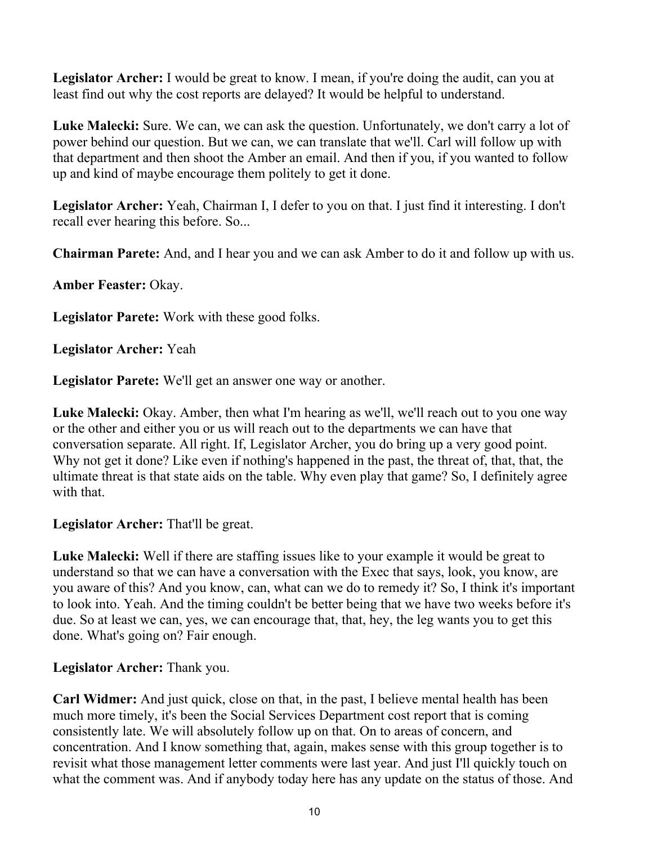Legislator Archer: I would be great to know. I mean, if you're doing the audit, can you at least find out why the cost reports are delayed? It would be helpful to understand.

Luke Malecki: Sure. We can, we can ask the question. Unfortunately, we don't carry a lot of power behind our question. But we can, we can translate that we'll. Carl will follow up with that department and then shoot the Amber an email. And then if you, if you wanted to follow up and kind of maybe encourage them politely to get it done.

**Legislator Archer:** Yeah, Chairman I, I defer to you on that. I just find it interesting. I don't recall ever hearing this before. So...

**Chairman Parete:** And, and I hear you and we can ask Amber to do it and follow up with us.

**Amber Feaster:** Okay.

**Legislator Parete:** Work with these good folks.

**Legislator Archer:** Yeah

**Legislator Parete:** We'll get an answer one way or another.

Luke Malecki: Okay. Amber, then what I'm hearing as we'll, we'll reach out to you one way or the other and either you or us will reach out to the departments we can have that conversation separate. All right. If, Legislator Archer, you do bring up a very good point. Why not get it done? Like even if nothing's happened in the past, the threat of, that, that, the ultimate threat is that state aids on the table. Why even play that game? So, I definitely agree with that.

**Legislator Archer:** That'll be great.

**Luke Malecki:** Well if there are staffing issues like to your example it would be great to understand so that we can have a conversation with the Exec that says, look, you know, are you aware of this? And you know, can, what can we do to remedy it? So, I think it's important to look into. Yeah. And the timing couldn't be better being that we have two weeks before it's due. So at least we can, yes, we can encourage that, that, hey, the leg wants you to get this done. What's going on? Fair enough.

**Legislator Archer:** Thank you.

**Carl Widmer:** And just quick, close on that, in the past, I believe mental health has been much more timely, it's been the Social Services Department cost report that is coming consistently late. We will absolutely follow up on that. On to areas of concern, and concentration. And I know something that, again, makes sense with this group together is to revisit what those management letter comments were last year. And just I'll quickly touch on what the comment was. And if anybody today here has any update on the status of those. And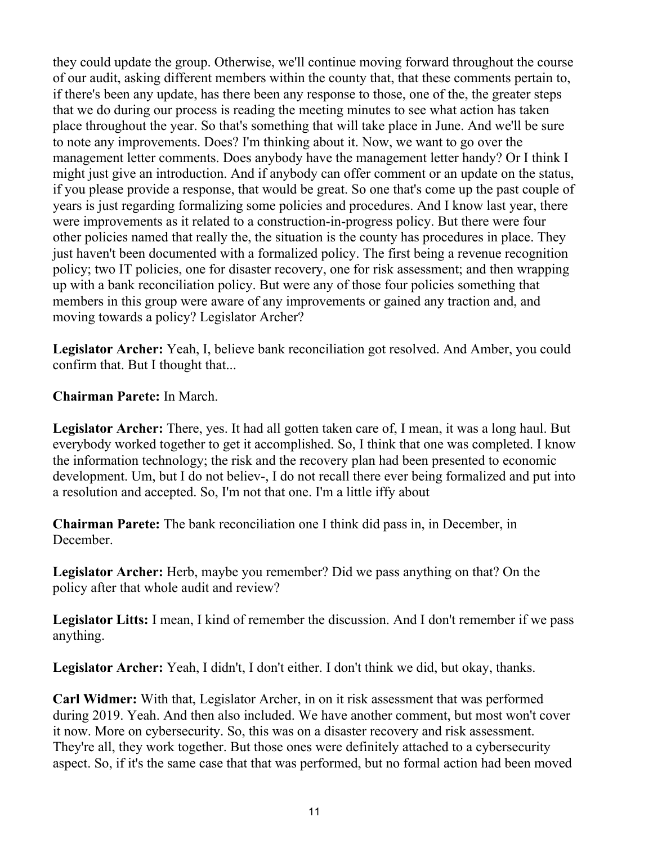they could update the group. Otherwise, we'll continue moving forward throughout the course of our audit, asking different members within the county that, that these comments pertain to, if there's been any update, has there been any response to those, one of the, the greater steps that we do during our process is reading the meeting minutes to see what action has taken place throughout the year. So that's something that will take place in June. And we'll be sure to note any improvements. Does? I'm thinking about it. Now, we want to go over the management letter comments. Does anybody have the management letter handy? Or I think I might just give an introduction. And if anybody can offer comment or an update on the status, if you please provide a response, that would be great. So one that's come up the past couple of years is just regarding formalizing some policies and procedures. And I know last year, there were improvements as it related to a construction-in-progress policy. But there were four other policies named that really the, the situation is the county has procedures in place. They just haven't been documented with a formalized policy. The first being a revenue recognition policy; two IT policies, one for disaster recovery, one for risk assessment; and then wrapping up with a bank reconciliation policy. But were any of those four policies something that members in this group were aware of any improvements or gained any traction and, and moving towards a policy? Legislator Archer?

**Legislator Archer:** Yeah, I, believe bank reconciliation got resolved. And Amber, you could confirm that. But I thought that...

**Chairman Parete:** In March.

**Legislator Archer:** There, yes. It had all gotten taken care of, I mean, it was a long haul. But everybody worked together to get it accomplished. So, I think that one was completed. I know the information technology; the risk and the recovery plan had been presented to economic development. Um, but I do not believ-, I do not recall there ever being formalized and put into a resolution and accepted. So, I'm not that one. I'm a little iffy about

**Chairman Parete:** The bank reconciliation one I think did pass in, in December, in December.

**Legislator Archer:** Herb, maybe you remember? Did we pass anything on that? On the policy after that whole audit and review?

**Legislator Litts:** I mean, I kind of remember the discussion. And I don't remember if we pass anything.

**Legislator Archer:** Yeah, I didn't, I don't either. I don't think we did, but okay, thanks.

**Carl Widmer:** With that, Legislator Archer, in on it risk assessment that was performed during 2019. Yeah. And then also included. We have another comment, but most won't cover it now. More on cybersecurity. So, this was on a disaster recovery and risk assessment. They're all, they work together. But those ones were definitely attached to a cybersecurity aspect. So, if it's the same case that that was performed, but no formal action had been moved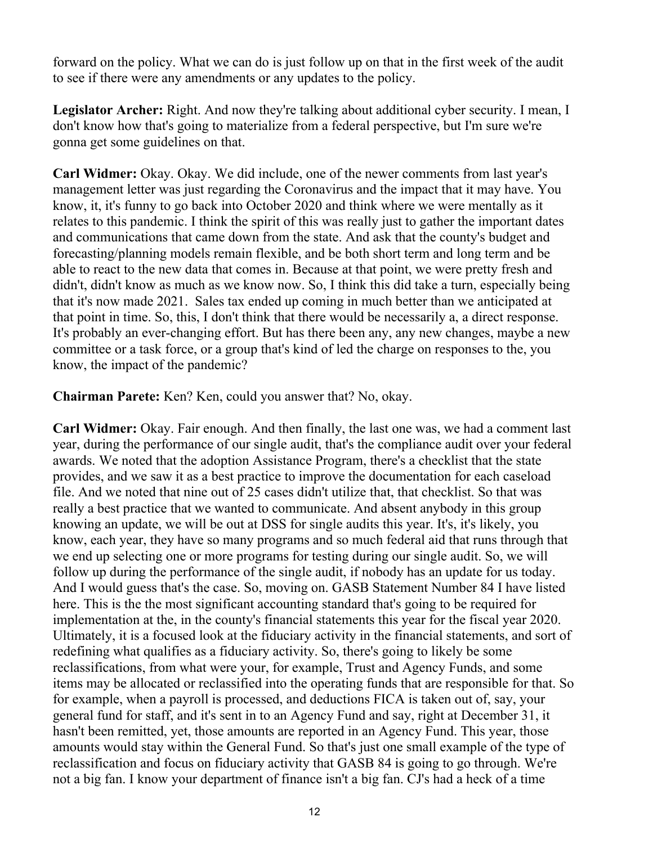forward on the policy. What we can do is just follow up on that in the first week of the audit to see if there were any amendments or any updates to the policy.

Legislator Archer: Right. And now they're talking about additional cyber security. I mean, I don't know how that's going to materialize from a federal perspective, but I'm sure we're gonna get some guidelines on that.

**Carl Widmer:** Okay. Okay. We did include, one of the newer comments from last year's management letter was just regarding the Coronavirus and the impact that it may have. You know, it, it's funny to go back into October 2020 and think where we were mentally as it relates to this pandemic. I think the spirit of this was really just to gather the important dates and communications that came down from the state. And ask that the county's budget and forecasting/planning models remain flexible, and be both short term and long term and be able to react to the new data that comes in. Because at that point, we were pretty fresh and didn't, didn't know as much as we know now. So, I think this did take a turn, especially being that it's now made 2021. Sales tax ended up coming in much better than we anticipated at that point in time. So, this, I don't think that there would be necessarily a, a direct response. It's probably an ever-changing effort. But has there been any, any new changes, maybe a new committee or a task force, or a group that's kind of led the charge on responses to the, you know, the impact of the pandemic?

**Chairman Parete:** Ken? Ken, could you answer that? No, okay.

**Carl Widmer:** Okay. Fair enough. And then finally, the last one was, we had a comment last year, during the performance of our single audit, that's the compliance audit over your federal awards. We noted that the adoption Assistance Program, there's a checklist that the state provides, and we saw it as a best practice to improve the documentation for each caseload file. And we noted that nine out of 25 cases didn't utilize that, that checklist. So that was really a best practice that we wanted to communicate. And absent anybody in this group knowing an update, we will be out at DSS for single audits this year. It's, it's likely, you know, each year, they have so many programs and so much federal aid that runs through that we end up selecting one or more programs for testing during our single audit. So, we will follow up during the performance of the single audit, if nobody has an update for us today. And I would guess that's the case. So, moving on. GASB Statement Number 84 I have listed here. This is the the most significant accounting standard that's going to be required for implementation at the, in the county's financial statements this year for the fiscal year 2020. Ultimately, it is a focused look at the fiduciary activity in the financial statements, and sort of redefining what qualifies as a fiduciary activity. So, there's going to likely be some reclassifications, from what were your, for example, Trust and Agency Funds, and some items may be allocated or reclassified into the operating funds that are responsible for that. So for example, when a payroll is processed, and deductions FICA is taken out of, say, your general fund for staff, and it's sent in to an Agency Fund and say, right at December 31, it hasn't been remitted, yet, those amounts are reported in an Agency Fund. This year, those amounts would stay within the General Fund. So that's just one small example of the type of reclassification and focus on fiduciary activity that GASB 84 is going to go through. We're not a big fan. I know your department of finance isn't a big fan. CJ's had a heck of a time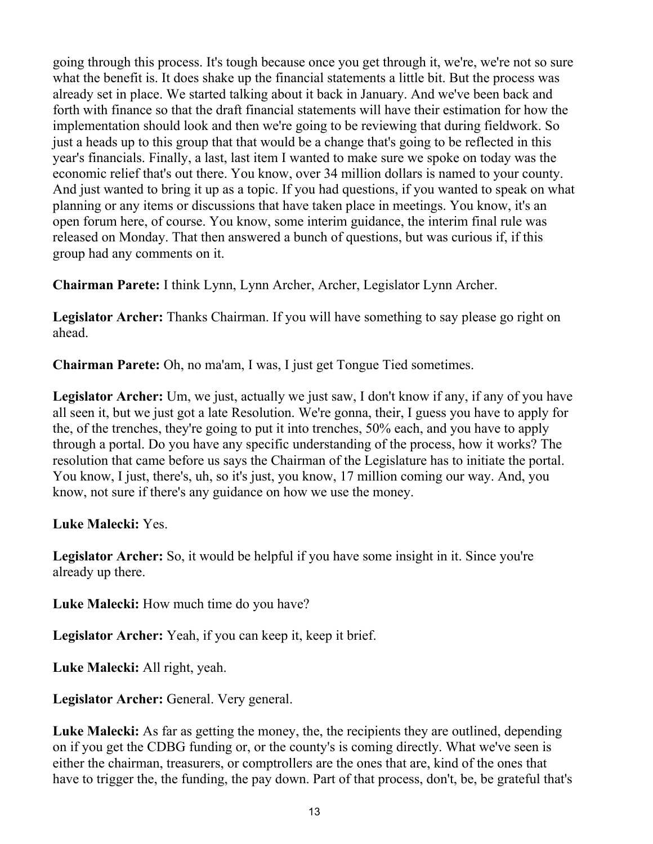going through this process. It's tough because once you get through it, we're, we're not so sure what the benefit is. It does shake up the financial statements a little bit. But the process was already set in place. We started talking about it back in January. And we've been back and forth with finance so that the draft financial statements will have their estimation for how the implementation should look and then we're going to be reviewing that during fieldwork. So just a heads up to this group that that would be a change that's going to be reflected in this year's financials. Finally, a last, last item I wanted to make sure we spoke on today was the economic relief that's out there. You know, over 34 million dollars is named to your county. And just wanted to bring it up as a topic. If you had questions, if you wanted to speak on what planning or any items or discussions that have taken place in meetings. You know, it's an open forum here, of course. You know, some interim guidance, the interim final rule was released on Monday. That then answered a bunch of questions, but was curious if, if this group had any comments on it.

**Chairman Parete:** I think Lynn, Lynn Archer, Archer, Legislator Lynn Archer.

Legislator Archer: Thanks Chairman. If you will have something to say please go right on ahead.

**Chairman Parete:** Oh, no ma'am, I was, I just get Tongue Tied sometimes.

**Legislator Archer:** Um, we just, actually we just saw, I don't know if any, if any of you have all seen it, but we just got a late Resolution. We're gonna, their, I guess you have to apply for the, of the trenches, they're going to put it into trenches, 50% each, and you have to apply through a portal. Do you have any specific understanding of the process, how it works? The resolution that came before us says the Chairman of the Legislature has to initiate the portal. You know, I just, there's, uh, so it's just, you know, 17 million coming our way. And, you know, not sure if there's any guidance on how we use the money.

#### **Luke Malecki:** Yes.

**Legislator Archer:** So, it would be helpful if you have some insight in it. Since you're already up there.

Luke Malecki: How much time do you have?

**Legislator Archer:** Yeah, if you can keep it, keep it brief.

**Luke Malecki:** All right, yeah.

Legislator Archer: General. Very general.

**Luke Malecki:** As far as getting the money, the, the recipients they are outlined, depending on if you get the CDBG funding or, or the county's is coming directly. What we've seen is either the chairman, treasurers, or comptrollers are the ones that are, kind of the ones that have to trigger the, the funding, the pay down. Part of that process, don't, be, be grateful that's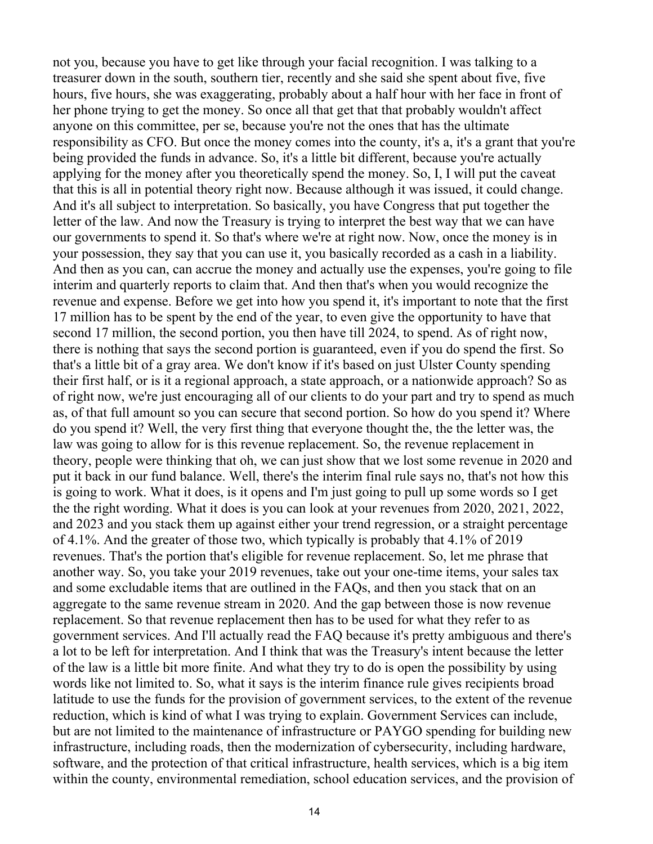not you, because you have to get like through your facial recognition. I was talking to a treasurer down in the south, southern tier, recently and she said she spent about five, five hours, five hours, she was exaggerating, probably about a half hour with her face in front of her phone trying to get the money. So once all that get that that probably wouldn't affect anyone on this committee, per se, because you're not the ones that has the ultimate responsibility as CFO. But once the money comes into the county, it's a, it's a grant that you're being provided the funds in advance. So, it's a little bit different, because you're actually applying for the money after you theoretically spend the money. So, I, I will put the caveat that this is all in potential theory right now. Because although it was issued, it could change. And it's all subject to interpretation. So basically, you have Congress that put together the letter of the law. And now the Treasury is trying to interpret the best way that we can have our governments to spend it. So that's where we're at right now. Now, once the money is in your possession, they say that you can use it, you basically recorded as a cash in a liability. And then as you can, can accrue the money and actually use the expenses, you're going to file interim and quarterly reports to claim that. And then that's when you would recognize the revenue and expense. Before we get into how you spend it, it's important to note that the first 17 million has to be spent by the end of the year, to even give the opportunity to have that second 17 million, the second portion, you then have till 2024, to spend. As of right now, there is nothing that says the second portion is guaranteed, even if you do spend the first. So that's a little bit of a gray area. We don't know if it's based on just Ulster County spending their first half, or is it a regional approach, a state approach, or a nationwide approach? So as of right now, we're just encouraging all of our clients to do your part and try to spend as much as, of that full amount so you can secure that second portion. So how do you spend it? Where do you spend it? Well, the very first thing that everyone thought the, the the letter was, the law was going to allow for is this revenue replacement. So, the revenue replacement in theory, people were thinking that oh, we can just show that we lost some revenue in 2020 and put it back in our fund balance. Well, there's the interim final rule says no, that's not how this is going to work. What it does, is it opens and I'm just going to pull up some words so I get the the right wording. What it does is you can look at your revenues from 2020, 2021, 2022, and 2023 and you stack them up against either your trend regression, or a straight percentage of 4.1%. And the greater of those two, which typically is probably that 4.1% of 2019 revenues. That's the portion that's eligible for revenue replacement. So, let me phrase that another way. So, you take your 2019 revenues, take out your one-time items, your sales tax and some excludable items that are outlined in the FAQs, and then you stack that on an aggregate to the same revenue stream in 2020. And the gap between those is now revenue replacement. So that revenue replacement then has to be used for what they refer to as government services. And I'll actually read the FAQ because it's pretty ambiguous and there's a lot to be left for interpretation. And I think that was the Treasury's intent because the letter of the law is a little bit more finite. And what they try to do is open the possibility by using words like not limited to. So, what it says is the interim finance rule gives recipients broad latitude to use the funds for the provision of government services, to the extent of the revenue reduction, which is kind of what I was trying to explain. Government Services can include, but are not limited to the maintenance of infrastructure or PAYGO spending for building new infrastructure, including roads, then the modernization of cybersecurity, including hardware, software, and the protection of that critical infrastructure, health services, which is a big item within the county, environmental remediation, school education services, and the provision of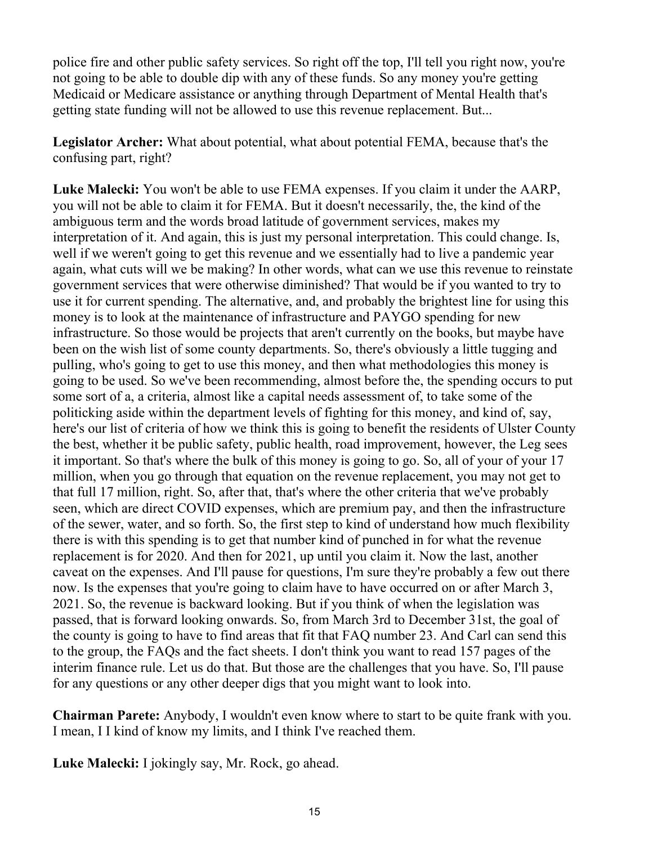police fire and other public safety services. So right off the top, I'll tell you right now, you're not going to be able to double dip with any of these funds. So any money you're getting Medicaid or Medicare assistance or anything through Department of Mental Health that's getting state funding will not be allowed to use this revenue replacement. But...

**Legislator Archer:** What about potential, what about potential FEMA, because that's the confusing part, right?

**Luke Malecki:** You won't be able to use FEMA expenses. If you claim it under the AARP, you will not be able to claim it for FEMA. But it doesn't necessarily, the, the kind of the ambiguous term and the words broad latitude of government services, makes my interpretation of it. And again, this is just my personal interpretation. This could change. Is, well if we weren't going to get this revenue and we essentially had to live a pandemic year again, what cuts will we be making? In other words, what can we use this revenue to reinstate government services that were otherwise diminished? That would be if you wanted to try to use it for current spending. The alternative, and, and probably the brightest line for using this money is to look at the maintenance of infrastructure and PAYGO spending for new infrastructure. So those would be projects that aren't currently on the books, but maybe have been on the wish list of some county departments. So, there's obviously a little tugging and pulling, who's going to get to use this money, and then what methodologies this money is going to be used. So we've been recommending, almost before the, the spending occurs to put some sort of a, a criteria, almost like a capital needs assessment of, to take some of the politicking aside within the department levels of fighting for this money, and kind of, say, here's our list of criteria of how we think this is going to benefit the residents of Ulster County the best, whether it be public safety, public health, road improvement, however, the Leg sees it important. So that's where the bulk of this money is going to go. So, all of your of your 17 million, when you go through that equation on the revenue replacement, you may not get to that full 17 million, right. So, after that, that's where the other criteria that we've probably seen, which are direct COVID expenses, which are premium pay, and then the infrastructure of the sewer, water, and so forth. So, the first step to kind of understand how much flexibility there is with this spending is to get that number kind of punched in for what the revenue replacement is for 2020. And then for 2021, up until you claim it. Now the last, another caveat on the expenses. And I'll pause for questions, I'm sure they're probably a few out there now. Is the expenses that you're going to claim have to have occurred on or after March 3, 2021. So, the revenue is backward looking. But if you think of when the legislation was passed, that is forward looking onwards. So, from March 3rd to December 31st, the goal of the county is going to have to find areas that fit that FAQ number 23. And Carl can send this to the group, the FAQs and the fact sheets. I don't think you want to read 157 pages of the interim finance rule. Let us do that. But those are the challenges that you have. So, I'll pause for any questions or any other deeper digs that you might want to look into.

**Chairman Parete:** Anybody, I wouldn't even know where to start to be quite frank with you. I mean, I I kind of know my limits, and I think I've reached them.

**Luke Malecki:** I jokingly say, Mr. Rock, go ahead.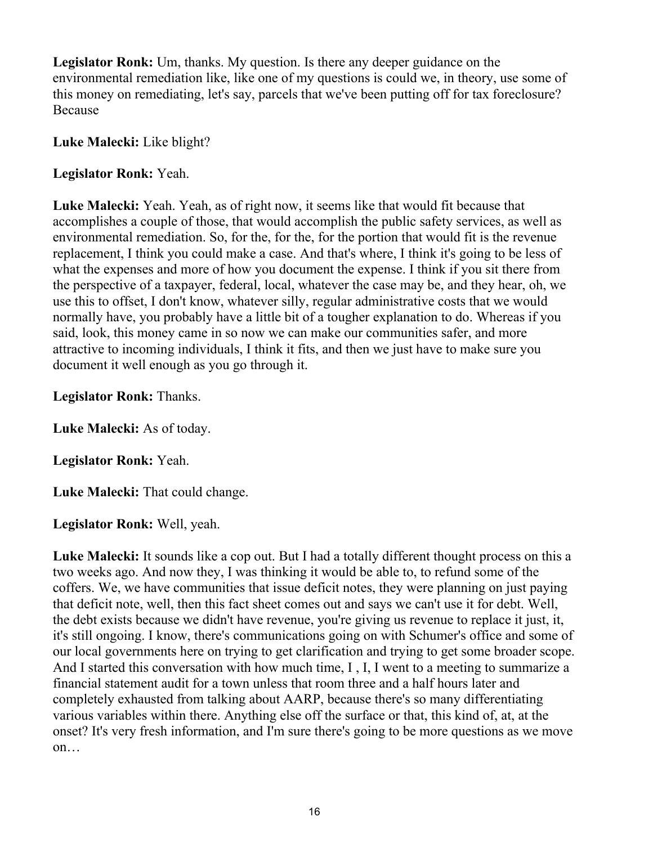**Legislator Ronk:** Um, thanks. My question. Is there any deeper guidance on the environmental remediation like, like one of my questions is could we, in theory, use some of this money on remediating, let's say, parcels that we've been putting off for tax foreclosure? Because

**Luke Malecki:** Like blight?

### **Legislator Ronk:** Yeah.

**Luke Malecki:** Yeah. Yeah, as of right now, it seems like that would fit because that accomplishes a couple of those, that would accomplish the public safety services, as well as environmental remediation. So, for the, for the, for the portion that would fit is the revenue replacement, I think you could make a case. And that's where, I think it's going to be less of what the expenses and more of how you document the expense. I think if you sit there from the perspective of a taxpayer, federal, local, whatever the case may be, and they hear, oh, we use this to offset, I don't know, whatever silly, regular administrative costs that we would normally have, you probably have a little bit of a tougher explanation to do. Whereas if you said, look, this money came in so now we can make our communities safer, and more attractive to incoming individuals, I think it fits, and then we just have to make sure you document it well enough as you go through it.

**Legislator Ronk:** Thanks.

**Luke Malecki:** As of today.

**Legislator Ronk:** Yeah.

**Luke Malecki:** That could change.

**Legislator Ronk:** Well, yeah.

Luke Malecki: It sounds like a cop out. But I had a totally different thought process on this a two weeks ago. And now they, I was thinking it would be able to, to refund some of the coffers. We, we have communities that issue deficit notes, they were planning on just paying that deficit note, well, then this fact sheet comes out and says we can't use it for debt. Well, the debt exists because we didn't have revenue, you're giving us revenue to replace it just, it, it's still ongoing. I know, there's communications going on with Schumer's office and some of our local governments here on trying to get clarification and trying to get some broader scope. And I started this conversation with how much time, I, I, I went to a meeting to summarize a financial statement audit for a town unless that room three and a half hours later and completely exhausted from talking about AARP, because there's so many differentiating various variables within there. Anything else off the surface or that, this kind of, at, at the onset? It's very fresh information, and I'm sure there's going to be more questions as we move on…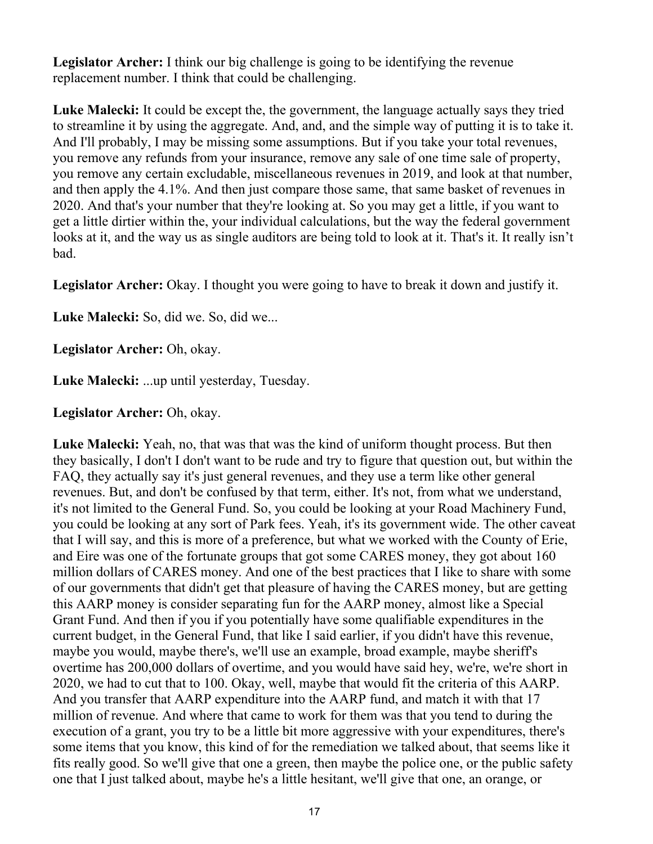**Legislator Archer:** I think our big challenge is going to be identifying the revenue replacement number. I think that could be challenging.

**Luke Malecki:** It could be except the, the government, the language actually says they tried to streamline it by using the aggregate. And, and, and the simple way of putting it is to take it. And I'll probably, I may be missing some assumptions. But if you take your total revenues, you remove any refunds from your insurance, remove any sale of one time sale of property, you remove any certain excludable, miscellaneous revenues in 2019, and look at that number, and then apply the 4.1%. And then just compare those same, that same basket of revenues in 2020. And that's your number that they're looking at. So you may get a little, if you want to get a little dirtier within the, your individual calculations, but the way the federal government looks at it, and the way us as single auditors are being told to look at it. That's it. It really isn't bad.

Legislator Archer: Okay. I thought you were going to have to break it down and justify it.

**Luke Malecki:** So, did we. So, did we...

**Legislator Archer:** Oh, okay.

**Luke Malecki:** ...up until yesterday, Tuesday.

**Legislator Archer:** Oh, okay.

**Luke Malecki:** Yeah, no, that was that was the kind of uniform thought process. But then they basically, I don't I don't want to be rude and try to figure that question out, but within the FAQ, they actually say it's just general revenues, and they use a term like other general revenues. But, and don't be confused by that term, either. It's not, from what we understand, it's not limited to the General Fund. So, you could be looking at your Road Machinery Fund, you could be looking at any sort of Park fees. Yeah, it's its government wide. The other caveat that I will say, and this is more of a preference, but what we worked with the County of Erie, and Eire was one of the fortunate groups that got some CARES money, they got about 160 million dollars of CARES money. And one of the best practices that I like to share with some of our governments that didn't get that pleasure of having the CARES money, but are getting this AARP money is consider separating fun for the AARP money, almost like a Special Grant Fund. And then if you if you potentially have some qualifiable expenditures in the current budget, in the General Fund, that like I said earlier, if you didn't have this revenue, maybe you would, maybe there's, we'll use an example, broad example, maybe sheriff's overtime has 200,000 dollars of overtime, and you would have said hey, we're, we're short in 2020, we had to cut that to 100. Okay, well, maybe that would fit the criteria of this AARP. And you transfer that AARP expenditure into the AARP fund, and match it with that 17 million of revenue. And where that came to work for them was that you tend to during the execution of a grant, you try to be a little bit more aggressive with your expenditures, there's some items that you know, this kind of for the remediation we talked about, that seems like it fits really good. So we'll give that one a green, then maybe the police one, or the public safety one that I just talked about, maybe he's a little hesitant, we'll give that one, an orange, or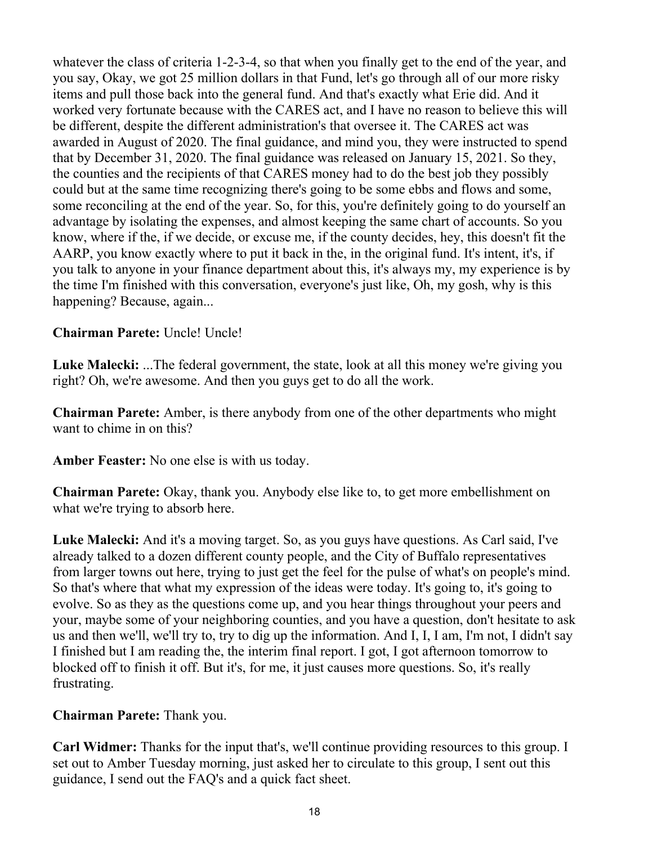whatever the class of criteria 1-2-3-4, so that when you finally get to the end of the year, and you say, Okay, we got 25 million dollars in that Fund, let's go through all of our more risky items and pull those back into the general fund. And that's exactly what Erie did. And it worked very fortunate because with the CARES act, and I have no reason to believe this will be different, despite the different administration's that oversee it. The CARES act was awarded in August of 2020. The final guidance, and mind you, they were instructed to spend that by December 31, 2020. The final guidance was released on January 15, 2021. So they, the counties and the recipients of that CARES money had to do the best job they possibly could but at the same time recognizing there's going to be some ebbs and flows and some, some reconciling at the end of the year. So, for this, you're definitely going to do yourself an advantage by isolating the expenses, and almost keeping the same chart of accounts. So you know, where if the, if we decide, or excuse me, if the county decides, hey, this doesn't fit the AARP, you know exactly where to put it back in the, in the original fund. It's intent, it's, if you talk to anyone in your finance department about this, it's always my, my experience is by the time I'm finished with this conversation, everyone's just like, Oh, my gosh, why is this happening? Because, again...

**Chairman Parete:** Uncle! Uncle!

Luke Malecki: ...The federal government, the state, look at all this money we're giving you right? Oh, we're awesome. And then you guys get to do all the work.

**Chairman Parete:** Amber, is there anybody from one of the other departments who might want to chime in on this?

**Amber Feaster:** No one else is with us today.

**Chairman Parete:** Okay, thank you. Anybody else like to, to get more embellishment on what we're trying to absorb here.

**Luke Malecki:** And it's a moving target. So, as you guys have questions. As Carl said, I've already talked to a dozen different county people, and the City of Buffalo representatives from larger towns out here, trying to just get the feel for the pulse of what's on people's mind. So that's where that what my expression of the ideas were today. It's going to, it's going to evolve. So as they as the questions come up, and you hear things throughout your peers and your, maybe some of your neighboring counties, and you have a question, don't hesitate to ask us and then we'll, we'll try to, try to dig up the information. And I, I, I am, I'm not, I didn't say I finished but I am reading the, the interim final report. I got, I got afternoon tomorrow to blocked off to finish it off. But it's, for me, it just causes more questions. So, it's really frustrating.

**Chairman Parete:** Thank you.

**Carl Widmer:** Thanks for the input that's, we'll continue providing resources to this group. I set out to Amber Tuesday morning, just asked her to circulate to this group, I sent out this guidance, I send out the FAQ's and a quick fact sheet.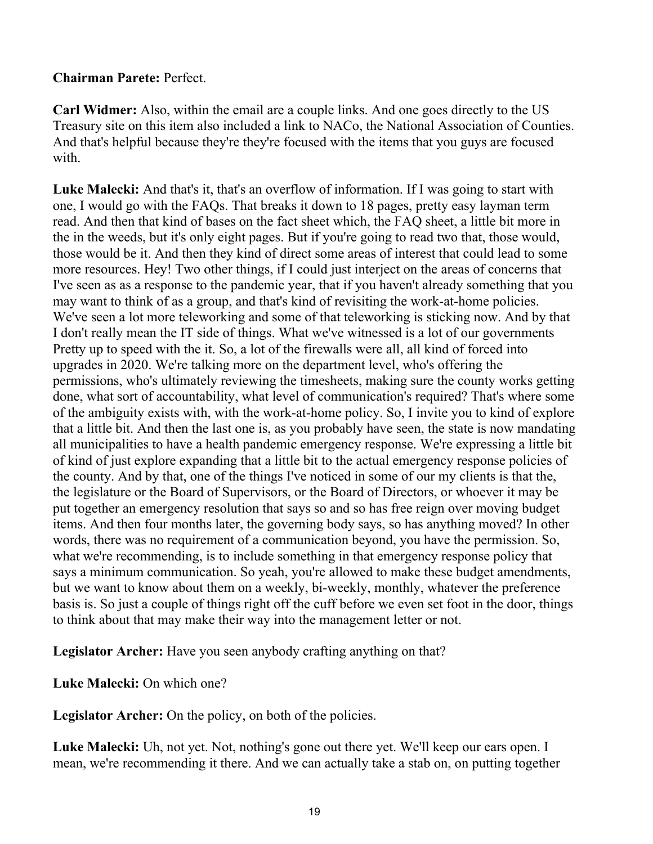#### **Chairman Parete:** Perfect.

**Carl Widmer:** Also, within the email are a couple links. And one goes directly to the US Treasury site on this item also included a link to NACo, the National Association of Counties. And that's helpful because they're they're focused with the items that you guys are focused with.

**Luke Malecki:** And that's it, that's an overflow of information. If I was going to start with one, I would go with the FAQs. That breaks it down to 18 pages, pretty easy layman term read. And then that kind of bases on the fact sheet which, the FAQ sheet, a little bit more in the in the weeds, but it's only eight pages. But if you're going to read two that, those would, those would be it. And then they kind of direct some areas of interest that could lead to some more resources. Hey! Two other things, if I could just interject on the areas of concerns that I've seen as as a response to the pandemic year, that if you haven't already something that you may want to think of as a group, and that's kind of revisiting the work-at-home policies. We've seen a lot more teleworking and some of that teleworking is sticking now. And by that I don't really mean the IT side of things. What we've witnessed is a lot of our governments Pretty up to speed with the it. So, a lot of the firewalls were all, all kind of forced into upgrades in 2020. We're talking more on the department level, who's offering the permissions, who's ultimately reviewing the timesheets, making sure the county works getting done, what sort of accountability, what level of communication's required? That's where some of the ambiguity exists with, with the work-at-home policy. So, I invite you to kind of explore that a little bit. And then the last one is, as you probably have seen, the state is now mandating all municipalities to have a health pandemic emergency response. We're expressing a little bit of kind of just explore expanding that a little bit to the actual emergency response policies of the county. And by that, one of the things I've noticed in some of our my clients is that the, the legislature or the Board of Supervisors, or the Board of Directors, or whoever it may be put together an emergency resolution that says so and so has free reign over moving budget items. And then four months later, the governing body says, so has anything moved? In other words, there was no requirement of a communication beyond, you have the permission. So, what we're recommending, is to include something in that emergency response policy that says a minimum communication. So yeah, you're allowed to make these budget amendments, but we want to know about them on a weekly, bi-weekly, monthly, whatever the preference basis is. So just a couple of things right off the cuff before we even set foot in the door, things to think about that may make their way into the management letter or not.

Legislator Archer: Have you seen anybody crafting anything on that?

**Luke Malecki:** On which one?

Legislator Archer: On the policy, on both of the policies.

Luke Malecki: Uh, not yet. Not, nothing's gone out there yet. We'll keep our ears open. I mean, we're recommending it there. And we can actually take a stab on, on putting together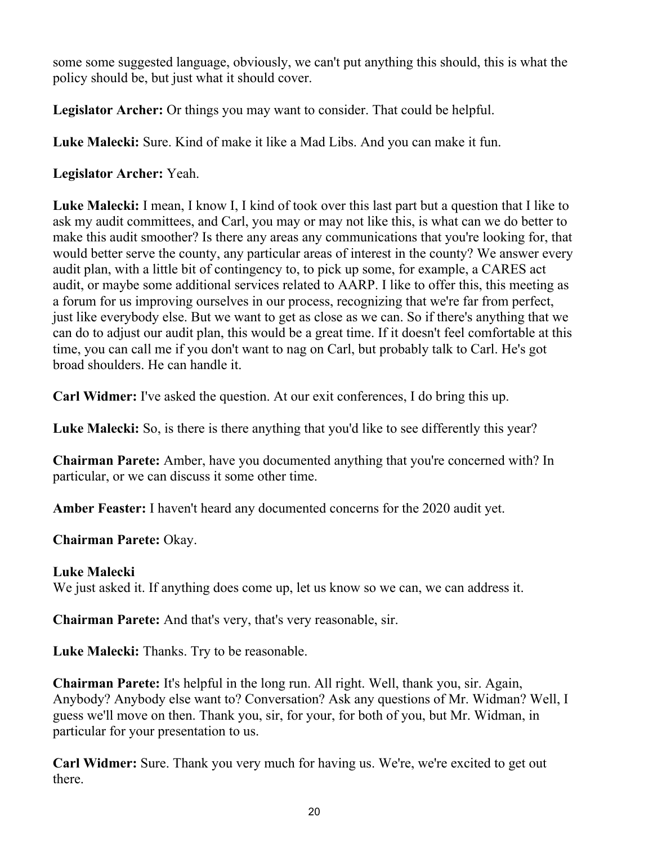some some suggested language, obviously, we can't put anything this should, this is what the policy should be, but just what it should cover.

**Legislator Archer:** Or things you may want to consider. That could be helpful.

**Luke Malecki:** Sure. Kind of make it like a Mad Libs. And you can make it fun.

**Legislator Archer:** Yeah.

**Luke Malecki:** I mean, I know I, I kind of took over this last part but a question that I like to ask my audit committees, and Carl, you may or may not like this, is what can we do better to make this audit smoother? Is there any areas any communications that you're looking for, that would better serve the county, any particular areas of interest in the county? We answer every audit plan, with a little bit of contingency to, to pick up some, for example, a CARES act audit, or maybe some additional services related to AARP. I like to offer this, this meeting as a forum for us improving ourselves in our process, recognizing that we're far from perfect, just like everybody else. But we want to get as close as we can. So if there's anything that we can do to adjust our audit plan, this would be a great time. If it doesn't feel comfortable at this time, you can call me if you don't want to nag on Carl, but probably talk to Carl. He's got broad shoulders. He can handle it.

**Carl Widmer:** I've asked the question. At our exit conferences, I do bring this up.

Luke Malecki: So, is there is there anything that you'd like to see differently this year?

**Chairman Parete:** Amber, have you documented anything that you're concerned with? In particular, or we can discuss it some other time.

**Amber Feaster:** I haven't heard any documented concerns for the 2020 audit yet.

**Chairman Parete:** Okay.

**Luke Malecki**  We just asked it. If anything does come up, let us know so we can, we can address it.

**Chairman Parete:** And that's very, that's very reasonable, sir.

Luke Malecki: Thanks. Try to be reasonable.

**Chairman Parete:** It's helpful in the long run. All right. Well, thank you, sir. Again, Anybody? Anybody else want to? Conversation? Ask any questions of Mr. Widman? Well, I guess we'll move on then. Thank you, sir, for your, for both of you, but Mr. Widman, in particular for your presentation to us.

**Carl Widmer:** Sure. Thank you very much for having us. We're, we're excited to get out there.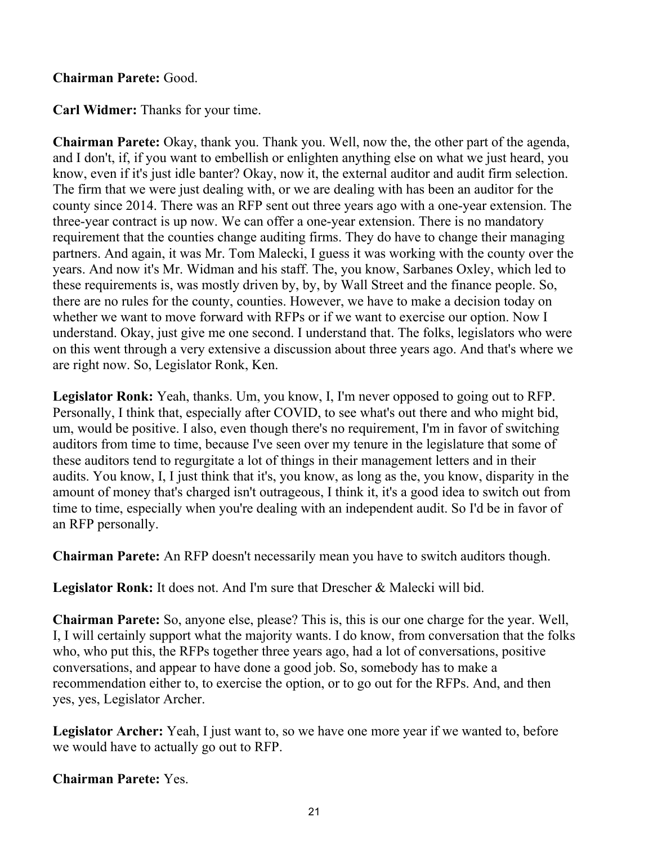#### **Chairman Parete:** Good.

**Carl Widmer:** Thanks for your time.

**Chairman Parete:** Okay, thank you. Thank you. Well, now the, the other part of the agenda, and I don't, if, if you want to embellish or enlighten anything else on what we just heard, you know, even if it's just idle banter? Okay, now it, the external auditor and audit firm selection. The firm that we were just dealing with, or we are dealing with has been an auditor for the county since 2014. There was an RFP sent out three years ago with a one-year extension. The three-year contract is up now. We can offer a one-year extension. There is no mandatory requirement that the counties change auditing firms. They do have to change their managing partners. And again, it was Mr. Tom Malecki, I guess it was working with the county over the years. And now it's Mr. Widman and his staff. The, you know, Sarbanes Oxley, which led to these requirements is, was mostly driven by, by, by Wall Street and the finance people. So, there are no rules for the county, counties. However, we have to make a decision today on whether we want to move forward with RFPs or if we want to exercise our option. Now I understand. Okay, just give me one second. I understand that. The folks, legislators who were on this went through a very extensive a discussion about three years ago. And that's where we are right now. So, Legislator Ronk, Ken.

**Legislator Ronk:** Yeah, thanks. Um, you know, I, I'm never opposed to going out to RFP. Personally, I think that, especially after COVID, to see what's out there and who might bid, um, would be positive. I also, even though there's no requirement, I'm in favor of switching auditors from time to time, because I've seen over my tenure in the legislature that some of these auditors tend to regurgitate a lot of things in their management letters and in their audits. You know, I, I just think that it's, you know, as long as the, you know, disparity in the amount of money that's charged isn't outrageous, I think it, it's a good idea to switch out from time to time, especially when you're dealing with an independent audit. So I'd be in favor of an RFP personally.

**Chairman Parete:** An RFP doesn't necessarily mean you have to switch auditors though.

**Legislator Ronk:** It does not. And I'm sure that Drescher & Malecki will bid.

**Chairman Parete:** So, anyone else, please? This is, this is our one charge for the year. Well, I, I will certainly support what the majority wants. I do know, from conversation that the folks who, who put this, the RFPs together three years ago, had a lot of conversations, positive conversations, and appear to have done a good job. So, somebody has to make a recommendation either to, to exercise the option, or to go out for the RFPs. And, and then yes, yes, Legislator Archer.

**Legislator Archer:** Yeah, I just want to, so we have one more year if we wanted to, before we would have to actually go out to RFP.

#### **Chairman Parete:** Yes.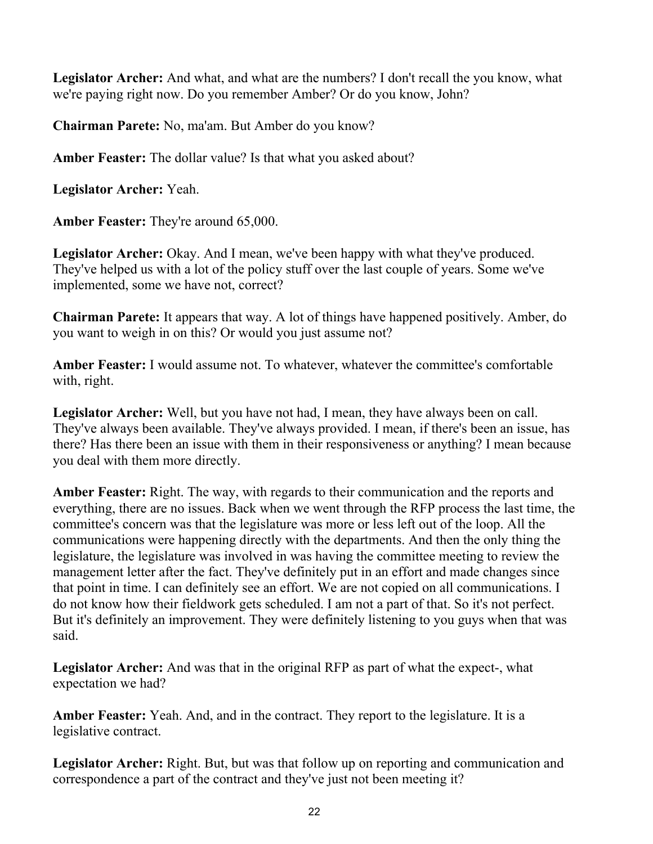**Legislator Archer:** And what, and what are the numbers? I don't recall the you know, what we're paying right now. Do you remember Amber? Or do you know, John?

**Chairman Parete:** No, ma'am. But Amber do you know?

**Amber Feaster:** The dollar value? Is that what you asked about?

**Legislator Archer:** Yeah.

**Amber Feaster:** They're around 65,000.

Legislator Archer: Okay. And I mean, we've been happy with what they've produced. They've helped us with a lot of the policy stuff over the last couple of years. Some we've implemented, some we have not, correct?

**Chairman Parete:** It appears that way. A lot of things have happened positively. Amber, do you want to weigh in on this? Or would you just assume not?

**Amber Feaster:** I would assume not. To whatever, whatever the committee's comfortable with, right.

**Legislator Archer:** Well, but you have not had, I mean, they have always been on call. They've always been available. They've always provided. I mean, if there's been an issue, has there? Has there been an issue with them in their responsiveness or anything? I mean because you deal with them more directly.

**Amber Feaster:** Right. The way, with regards to their communication and the reports and everything, there are no issues. Back when we went through the RFP process the last time, the committee's concern was that the legislature was more or less left out of the loop. All the communications were happening directly with the departments. And then the only thing the legislature, the legislature was involved in was having the committee meeting to review the management letter after the fact. They've definitely put in an effort and made changes since that point in time. I can definitely see an effort. We are not copied on all communications. I do not know how their fieldwork gets scheduled. I am not a part of that. So it's not perfect. But it's definitely an improvement. They were definitely listening to you guys when that was said.

**Legislator Archer:** And was that in the original RFP as part of what the expect-, what expectation we had?

**Amber Feaster:** Yeah. And, and in the contract. They report to the legislature. It is a legislative contract.

**Legislator Archer:** Right. But, but was that follow up on reporting and communication and correspondence a part of the contract and they've just not been meeting it?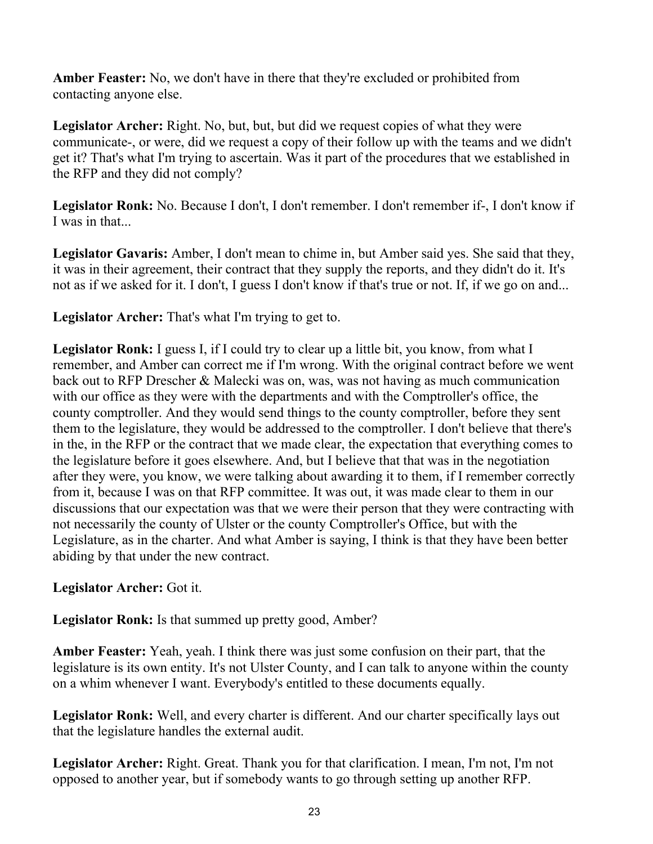**Amber Feaster:** No, we don't have in there that they're excluded or prohibited from contacting anyone else.

**Legislator Archer:** Right. No, but, but, but did we request copies of what they were communicate-, or were, did we request a copy of their follow up with the teams and we didn't get it? That's what I'm trying to ascertain. Was it part of the procedures that we established in the RFP and they did not comply?

**Legislator Ronk:** No. Because I don't, I don't remember. I don't remember if-, I don't know if I was in that...

**Legislator Gavaris:** Amber, I don't mean to chime in, but Amber said yes. She said that they, it was in their agreement, their contract that they supply the reports, and they didn't do it. It's not as if we asked for it. I don't, I guess I don't know if that's true or not. If, if we go on and...

**Legislator Archer:** That's what I'm trying to get to.

**Legislator Ronk:** I guess I, if I could try to clear up a little bit, you know, from what I remember, and Amber can correct me if I'm wrong. With the original contract before we went back out to RFP Drescher & Malecki was on, was, was not having as much communication with our office as they were with the departments and with the Comptroller's office, the county comptroller. And they would send things to the county comptroller, before they sent them to the legislature, they would be addressed to the comptroller. I don't believe that there's in the, in the RFP or the contract that we made clear, the expectation that everything comes to the legislature before it goes elsewhere. And, but I believe that that was in the negotiation after they were, you know, we were talking about awarding it to them, if I remember correctly from it, because I was on that RFP committee. It was out, it was made clear to them in our discussions that our expectation was that we were their person that they were contracting with not necessarily the county of Ulster or the county Comptroller's Office, but with the Legislature, as in the charter. And what Amber is saying, I think is that they have been better abiding by that under the new contract.

#### **Legislator Archer:** Got it.

**Legislator Ronk:** Is that summed up pretty good, Amber?

**Amber Feaster:** Yeah, yeah. I think there was just some confusion on their part, that the legislature is its own entity. It's not Ulster County, and I can talk to anyone within the county on a whim whenever I want. Everybody's entitled to these documents equally.

**Legislator Ronk:** Well, and every charter is different. And our charter specifically lays out that the legislature handles the external audit.

**Legislator Archer:** Right. Great. Thank you for that clarification. I mean, I'm not, I'm not opposed to another year, but if somebody wants to go through setting up another RFP.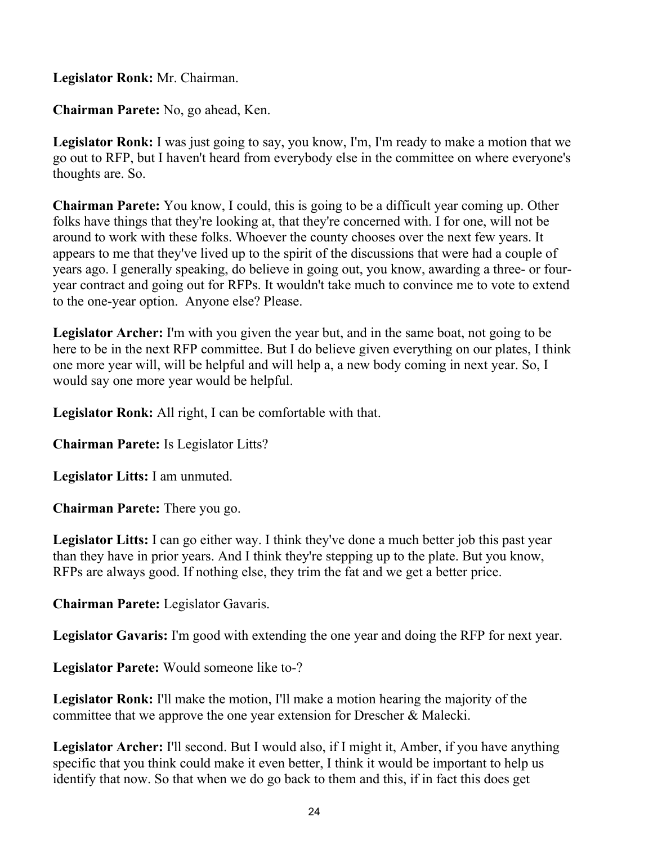**Legislator Ronk:** Mr. Chairman.

**Chairman Parete:** No, go ahead, Ken.

**Legislator Ronk:** I was just going to say, you know, I'm, I'm ready to make a motion that we go out to RFP, but I haven't heard from everybody else in the committee on where everyone's thoughts are. So.

**Chairman Parete:** You know, I could, this is going to be a difficult year coming up. Other folks have things that they're looking at, that they're concerned with. I for one, will not be around to work with these folks. Whoever the county chooses over the next few years. It appears to me that they've lived up to the spirit of the discussions that were had a couple of years ago. I generally speaking, do believe in going out, you know, awarding a three- or fouryear contract and going out for RFPs. It wouldn't take much to convince me to vote to extend to the one-year option. Anyone else? Please.

**Legislator Archer:** I'm with you given the year but, and in the same boat, not going to be here to be in the next RFP committee. But I do believe given everything on our plates, I think one more year will, will be helpful and will help a, a new body coming in next year. So, I would say one more year would be helpful.

**Legislator Ronk:** All right, I can be comfortable with that.

**Chairman Parete:** Is Legislator Litts?

**Legislator Litts:** I am unmuted.

**Chairman Parete:** There you go.

**Legislator Litts:** I can go either way. I think they've done a much better job this past year than they have in prior years. And I think they're stepping up to the plate. But you know, RFPs are always good. If nothing else, they trim the fat and we get a better price.

**Chairman Parete:** Legislator Gavaris.

**Legislator Gavaris:** I'm good with extending the one year and doing the RFP for next year.

**Legislator Parete:** Would someone like to-?

**Legislator Ronk:** I'll make the motion, I'll make a motion hearing the majority of the committee that we approve the one year extension for Drescher & Malecki.

Legislator Archer: I'll second. But I would also, if I might it, Amber, if you have anything specific that you think could make it even better, I think it would be important to help us identify that now. So that when we do go back to them and this, if in fact this does get